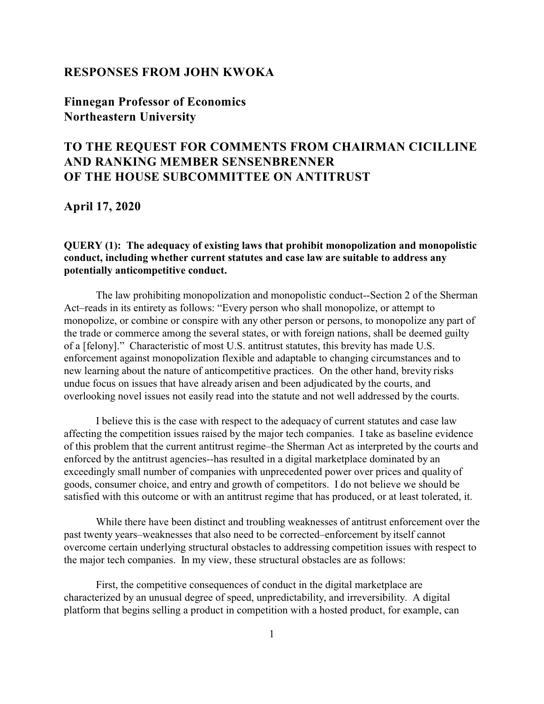### **RESPONSES FROM JOHN KWOKA**

**Finnegan Professor of Economics Northeastern University**

# **TO THE REQUEST FOR COMMENTS FROM CHAIRMAN CICILLINE AND RANKING MEMBER SENSENBRENNER OF THE HOUSE SUBCOMMITTEE ON ANTITRUST**

**April 17, 2020**

### **QUERY (1): The adequacy of existing laws that prohibit monopolization and monopolistic conduct, including whether current statutes and case law are suitable to address any potentially anticompetitive conduct.**

The law prohibiting monopolization and monopolistic conduct--Section 2 of the Sherman Act–reads in its entirety as follows: "Every person who shall monopolize, or attempt to monopolize, or combine or conspire with any other person or persons, to monopolize any part of the trade or commerce among the several states, or with foreign nations, shall be deemed guilty of a [felony]." Characteristic of most U.S. antitrust statutes, this brevity has made U.S. enforcement against monopolization flexible and adaptable to changing circumstances and to new learning about the nature of anticompetitive practices. On the other hand, brevity risks undue focus on issues that have already arisen and been adjudicated by the courts, and overlooking novel issues not easily read into the statute and not well addressed by the courts.

I believe this is the case with respect to the adequacy of current statutes and case law affecting the competition issues raised by the major tech companies. I take as baseline evidence of this problem that the current antitrust regime–the Sherman Act as interpreted by the courts and enforced by the antitrust agencies--has resulted in a digital marketplace dominated by an exceedingly small number of companies with unprecedented power over prices and quality of goods, consumer choice, and entry and growth of competitors. I do not believe we should be satisfied with this outcome or with an antitrust regime that has produced, or at least tolerated, it.

While there have been distinct and troubling weaknesses of antitrust enforcement over the past twenty years–weaknesses that also need to be corrected–enforcement by itself cannot overcome certain underlying structural obstacles to addressing competition issues with respect to the major tech companies. In my view, these structural obstacles are as follows:

First, the competitive consequences of conduct in the digital marketplace are characterized by an unusual degree of speed, unpredictability, and irreversibility. A digital platform that begins selling a product in competition with a hosted product, for example, can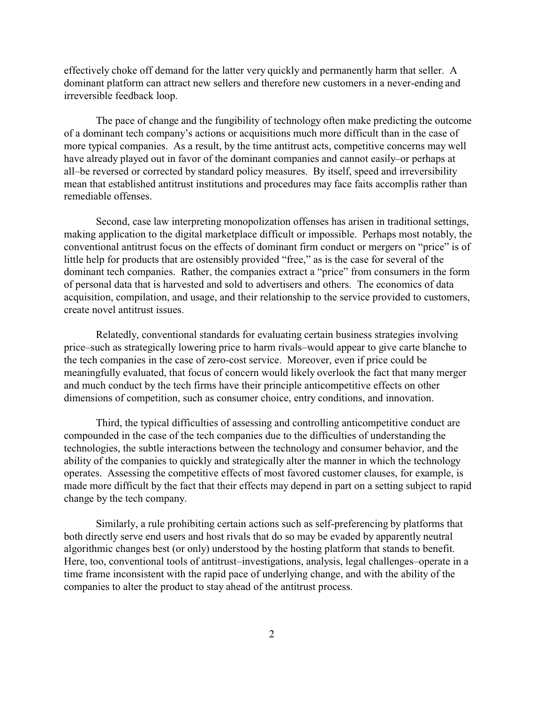effectively choke off demand for the latter very quickly and permanently harm that seller. A dominant platform can attract new sellers and therefore new customers in a never-ending and irreversible feedback loop.

The pace of change and the fungibility of technology often make predicting the outcome of a dominant tech company's actions or acquisitions much more difficult than in the case of more typical companies. As a result, by the time antitrust acts, competitive concerns may well have already played out in favor of the dominant companies and cannot easily–or perhaps at all–be reversed or corrected by standard policy measures. By itself, speed and irreversibility mean that established antitrust institutions and procedures may face faits accomplis rather than remediable offenses.

Second, case law interpreting monopolization offenses has arisen in traditional settings, making application to the digital marketplace difficult or impossible. Perhaps most notably, the conventional antitrust focus on the effects of dominant firm conduct or mergers on "price" is of little help for products that are ostensibly provided "free," as is the case for several of the dominant tech companies. Rather, the companies extract a "price" from consumers in the form of personal data that is harvested and sold to advertisers and others. The economics of data acquisition, compilation, and usage, and their relationship to the service provided to customers, create novel antitrust issues.

Relatedly, conventional standards for evaluating certain business strategies involving price–such as strategically lowering price to harm rivals–would appear to give carte blanche to the tech companies in the case of zero-cost service. Moreover, even if price could be meaningfully evaluated, that focus of concern would likely overlook the fact that many merger and much conduct by the tech firms have their principle anticompetitive effects on other dimensions of competition, such as consumer choice, entry conditions, and innovation.

Third, the typical difficulties of assessing and controlling anticompetitive conduct are compounded in the case of the tech companies due to the difficulties of understanding the technologies, the subtle interactions between the technology and consumer behavior, and the ability of the companies to quickly and strategically alter the manner in which the technology operates. Assessing the competitive effects of most favored customer clauses, for example, is made more difficult by the fact that their effects may depend in part on a setting subject to rapid change by the tech company.

Similarly, a rule prohibiting certain actions such as self-preferencing by platforms that both directly serve end users and host rivals that do so may be evaded by apparently neutral algorithmic changes best (or only) understood by the hosting platform that stands to benefit. Here, too, conventional tools of antitrust–investigations, analysis, legal challenges–operate in a time frame inconsistent with the rapid pace of underlying change, and with the ability of the companies to alter the product to stay ahead of the antitrust process.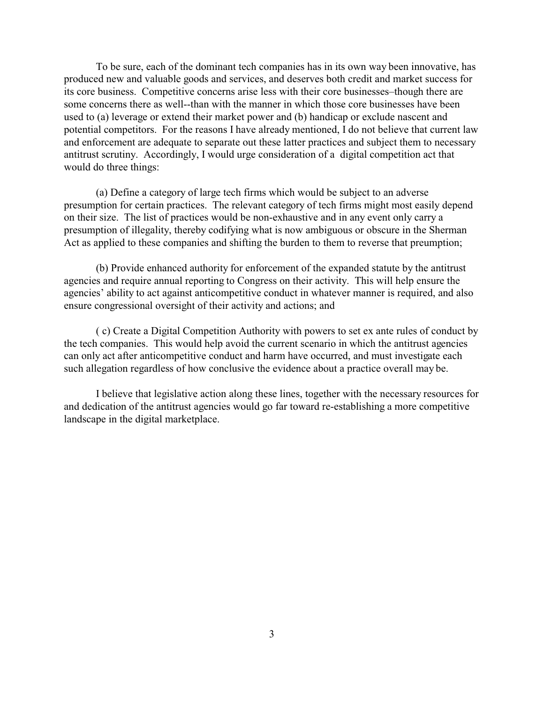To be sure, each of the dominant tech companies has in its own way been innovative, has produced new and valuable goods and services, and deserves both credit and market success for its core business. Competitive concerns arise less with their core businesses–though there are some concerns there as well--than with the manner in which those core businesses have been used to (a) leverage or extend their market power and (b) handicap or exclude nascent and potential competitors. For the reasons I have already mentioned, I do not believe that current law and enforcement are adequate to separate out these latter practices and subject them to necessary antitrust scrutiny. Accordingly, I would urge consideration of a digital competition act that would do three things:

(a) Define a category of large tech firms which would be subject to an adverse presumption for certain practices. The relevant category of tech firms might most easily depend on their size. The list of practices would be non-exhaustive and in any event only carry a presumption of illegality, thereby codifying what is now ambiguous or obscure in the Sherman Act as applied to these companies and shifting the burden to them to reverse that preumption;

(b) Provide enhanced authority for enforcement of the expanded statute by the antitrust agencies and require annual reporting to Congress on their activity. This will help ensure the agencies' ability to act against anticompetitive conduct in whatever manner is required, and also ensure congressional oversight of their activity and actions; and

( c) Create a Digital Competition Authority with powers to set ex ante rules of conduct by the tech companies. This would help avoid the current scenario in which the antitrust agencies can only act after anticompetitive conduct and harm have occurred, and must investigate each such allegation regardless of how conclusive the evidence about a practice overall may be.

I believe that legislative action along these lines, together with the necessary resources for and dedication of the antitrust agencies would go far toward re-establishing a more competitive landscape in the digital marketplace.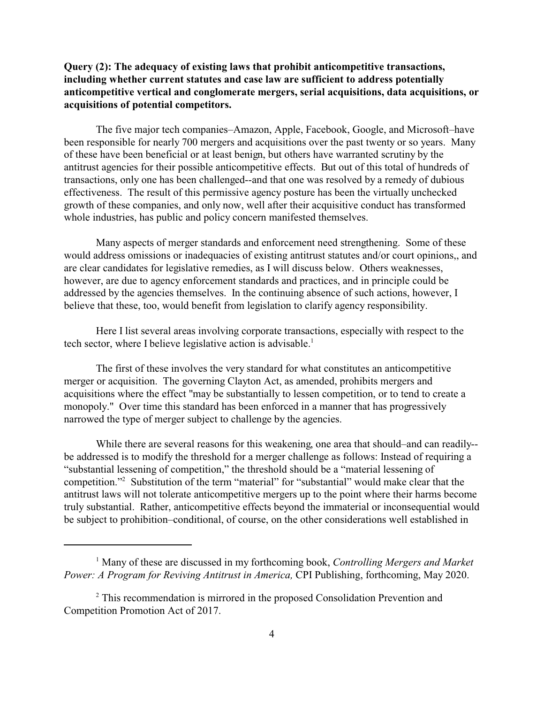## **Query (2): The adequacy of existing laws that prohibit anticompetitive transactions, including whether current statutes and case law are sufficient to address potentially anticompetitive vertical and conglomerate mergers, serial acquisitions, data acquisitions, or acquisitions of potential competitors.**

The five major tech companies–Amazon, Apple, Facebook, Google, and Microsoft–have been responsible for nearly 700 mergers and acquisitions over the past twenty or so years. Many of these have been beneficial or at least benign, but others have warranted scrutiny by the antitrust agencies for their possible anticompetitive effects. But out of this total of hundreds of transactions, only one has been challenged--and that one was resolved by a remedy of dubious effectiveness. The result of this permissive agency posture has been the virtually unchecked growth of these companies, and only now, well after their acquisitive conduct has transformed whole industries, has public and policy concern manifested themselves.

Many aspects of merger standards and enforcement need strengthening. Some of these would address omissions or inadequacies of existing antitrust statutes and/or court opinions,, and are clear candidates for legislative remedies, as I will discuss below. Others weaknesses, however, are due to agency enforcement standards and practices, and in principle could be addressed by the agencies themselves. In the continuing absence of such actions, however, I believe that these, too, would benefit from legislation to clarify agency responsibility.

Here I list several areas involving corporate transactions, especially with respect to the tech sector, where I believe legislative action is advisable.<sup>1</sup>

The first of these involves the very standard for what constitutes an anticompetitive merger or acquisition. The governing Clayton Act, as amended, prohibits mergers and acquisitions where the effect "may be substantially to lessen competition, or to tend to create a monopoly." Over time this standard has been enforced in a manner that has progressively narrowed the type of merger subject to challenge by the agencies.

While there are several reasons for this weakening, one area that should–and can readily-be addressed is to modify the threshold for a merger challenge as follows: Instead of requiring a "substantial lessening of competition," the threshold should be a "material lessening of competition."<sup>2</sup> Substitution of the term "material" for "substantial" would make clear that the antitrust laws will not tolerate anticompetitive mergers up to the point where their harms become truly substantial. Rather, anticompetitive effects beyond the immaterial or inconsequential would be subject to prohibition–conditional, of course, on the other considerations well established in

<sup>&</sup>lt;sup>1</sup> Many of these are discussed in my forthcoming book, *Controlling Mergers and Market Power: A Program for Reviving Antitrust in America,* CPI Publishing, forthcoming, May 2020.

<sup>&</sup>lt;sup>2</sup> This recommendation is mirrored in the proposed Consolidation Prevention and Competition Promotion Act of 2017.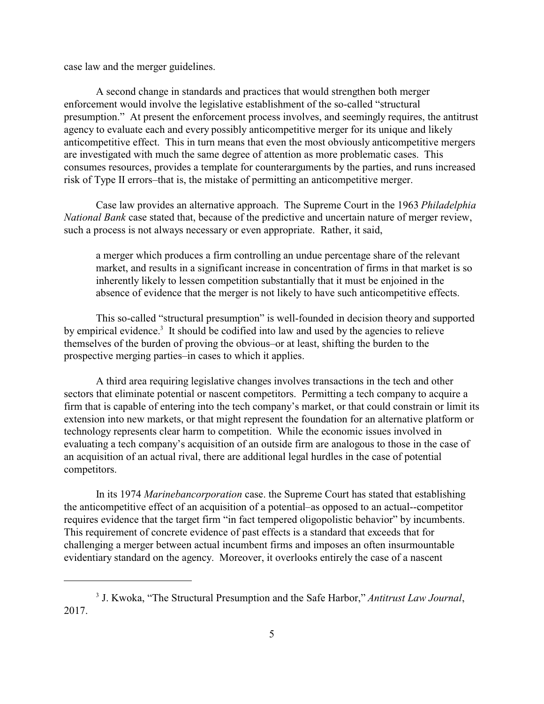case law and the merger guidelines.

A second change in standards and practices that would strengthen both merger enforcement would involve the legislative establishment of the so-called "structural presumption." At present the enforcement process involves, and seemingly requires, the antitrust agency to evaluate each and every possibly anticompetitive merger for its unique and likely anticompetitive effect. This in turn means that even the most obviously anticompetitive mergers are investigated with much the same degree of attention as more problematic cases. This consumes resources, provides a template for counterarguments by the parties, and runs increased risk of Type II errors–that is, the mistake of permitting an anticompetitive merger.

Case law provides an alternative approach. The Supreme Court in the 1963 *Philadelphia National Bank* case stated that, because of the predictive and uncertain nature of merger review, such a process is not always necessary or even appropriate. Rather, it said,

a merger which produces a firm controlling an undue percentage share of the relevant market, and results in a significant increase in concentration of firms in that market is so inherently likely to lessen competition substantially that it must be enjoined in the absence of evidence that the merger is not likely to have such anticompetitive effects.

This so-called "structural presumption" is well-founded in decision theory and supported by empirical evidence.<sup>3</sup> It should be codified into law and used by the agencies to relieve themselves of the burden of proving the obvious–or at least, shifting the burden to the prospective merging parties–in cases to which it applies.

A third area requiring legislative changes involves transactions in the tech and other sectors that eliminate potential or nascent competitors. Permitting a tech company to acquire a firm that is capable of entering into the tech company's market, or that could constrain or limit its extension into new markets, or that might represent the foundation for an alternative platform or technology represents clear harm to competition. While the economic issues involved in evaluating a tech company's acquisition of an outside firm are analogous to those in the case of an acquisition of an actual rival, there are additional legal hurdles in the case of potential competitors.

In its 1974 *Marinebancorporation* case. the Supreme Court has stated that establishing the anticompetitive effect of an acquisition of a potential–as opposed to an actual--competitor requires evidence that the target firm "in fact tempered oligopolistic behavior" by incumbents. This requirement of concrete evidence of past effects is a standard that exceeds that for challenging a merger between actual incumbent firms and imposes an often insurmountable evidentiary standard on the agency. Moreover, it overlooks entirely the case of a nascent

<sup>3</sup> J. Kwoka, "The Structural Presumption and the Safe Harbor," *Antitrust Law Journal*, 2017.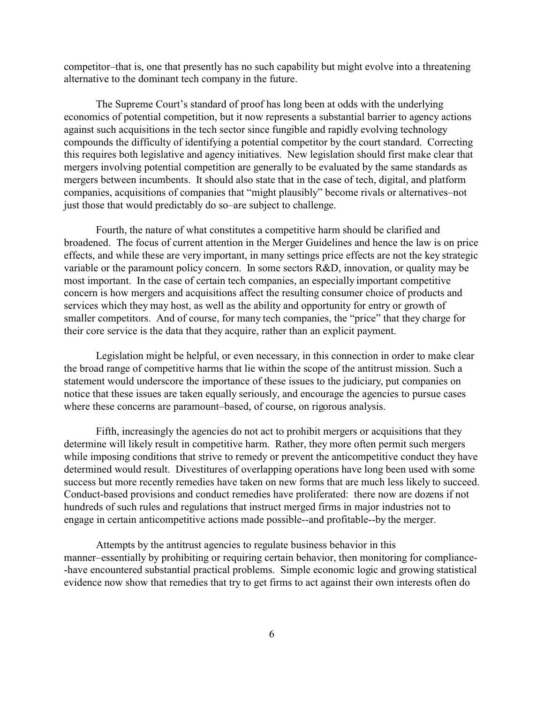competitor–that is, one that presently has no such capability but might evolve into a threatening alternative to the dominant tech company in the future.

The Supreme Court's standard of proof has long been at odds with the underlying economics of potential competition, but it now represents a substantial barrier to agency actions against such acquisitions in the tech sector since fungible and rapidly evolving technology compounds the difficulty of identifying a potential competitor by the court standard. Correcting this requires both legislative and agency initiatives. New legislation should first make clear that mergers involving potential competition are generally to be evaluated by the same standards as mergers between incumbents. It should also state that in the case of tech, digital, and platform companies, acquisitions of companies that "might plausibly" become rivals or alternatives–not just those that would predictably do so–are subject to challenge.

Fourth, the nature of what constitutes a competitive harm should be clarified and broadened. The focus of current attention in the Merger Guidelines and hence the law is on price effects, and while these are very important, in many settings price effects are not the key strategic variable or the paramount policy concern. In some sectors R&D, innovation, or quality may be most important. In the case of certain tech companies, an especially important competitive concern is how mergers and acquisitions affect the resulting consumer choice of products and services which they may host, as well as the ability and opportunity for entry or growth of smaller competitors. And of course, for many tech companies, the "price" that they charge for their core service is the data that they acquire, rather than an explicit payment.

Legislation might be helpful, or even necessary, in this connection in order to make clear the broad range of competitive harms that lie within the scope of the antitrust mission. Such a statement would underscore the importance of these issues to the judiciary, put companies on notice that these issues are taken equally seriously, and encourage the agencies to pursue cases where these concerns are paramount–based, of course, on rigorous analysis.

Fifth, increasingly the agencies do not act to prohibit mergers or acquisitions that they determine will likely result in competitive harm. Rather, they more often permit such mergers while imposing conditions that strive to remedy or prevent the anticompetitive conduct they have determined would result. Divestitures of overlapping operations have long been used with some success but more recently remedies have taken on new forms that are much less likely to succeed. Conduct-based provisions and conduct remedies have proliferated: there now are dozens if not hundreds of such rules and regulations that instruct merged firms in major industries not to engage in certain anticompetitive actions made possible--and profitable--by the merger.

Attempts by the antitrust agencies to regulate business behavior in this manner–essentially by prohibiting or requiring certain behavior, then monitoring for compliance- -have encountered substantial practical problems. Simple economic logic and growing statistical evidence now show that remedies that try to get firms to act against their own interests often do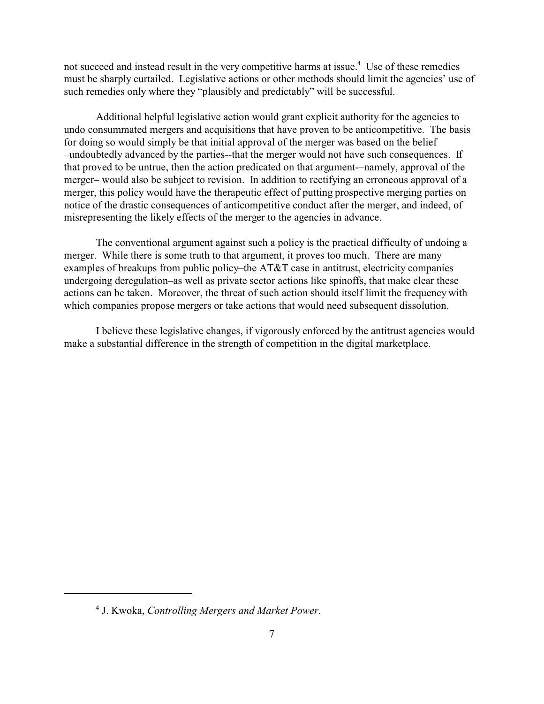not succeed and instead result in the very competitive harms at issue.<sup>4</sup> Use of these remedies must be sharply curtailed. Legislative actions or other methods should limit the agencies' use of such remedies only where they "plausibly and predictably" will be successful.

Additional helpful legislative action would grant explicit authority for the agencies to undo consummated mergers and acquisitions that have proven to be anticompetitive. The basis for doing so would simply be that initial approval of the merger was based on the belief –undoubtedly advanced by the parties--that the merger would not have such consequences. If that proved to be untrue, then the action predicated on that argument-–namely, approval of the merger– would also be subject to revision. In addition to rectifying an erroneous approval of a merger, this policy would have the therapeutic effect of putting prospective merging parties on notice of the drastic consequences of anticompetitive conduct after the merger, and indeed, of misrepresenting the likely effects of the merger to the agencies in advance.

The conventional argument against such a policy is the practical difficulty of undoing a merger. While there is some truth to that argument, it proves too much. There are many examples of breakups from public policy–the AT&T case in antitrust, electricity companies undergoing deregulation–as well as private sector actions like spinoffs, that make clear these actions can be taken. Moreover, the threat of such action should itself limit the frequency with which companies propose mergers or take actions that would need subsequent dissolution.

I believe these legislative changes, if vigorously enforced by the antitrust agencies would make a substantial difference in the strength of competition in the digital marketplace.

<sup>4</sup> J. Kwoka, *Controlling Mergers and Market Power*.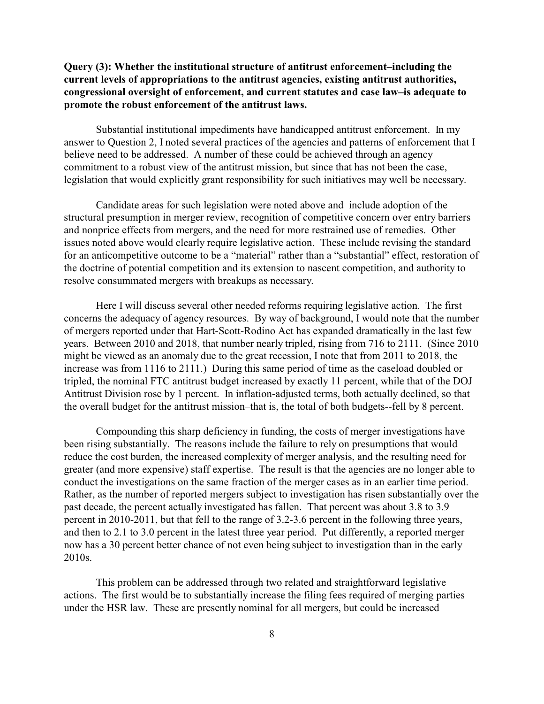## **Query (3): Whether the institutional structure of antitrust enforcement–including the current levels of appropriations to the antitrust agencies, existing antitrust authorities, congressional oversight of enforcement, and current statutes and case law–is adequate to promote the robust enforcement of the antitrust laws.**

Substantial institutional impediments have handicapped antitrust enforcement. In my answer to Question 2, I noted several practices of the agencies and patterns of enforcement that I believe need to be addressed. A number of these could be achieved through an agency commitment to a robust view of the antitrust mission, but since that has not been the case, legislation that would explicitly grant responsibility for such initiatives may well be necessary.

Candidate areas for such legislation were noted above and include adoption of the structural presumption in merger review, recognition of competitive concern over entry barriers and nonprice effects from mergers, and the need for more restrained use of remedies. Other issues noted above would clearly require legislative action. These include revising the standard for an anticompetitive outcome to be a "material" rather than a "substantial" effect, restoration of the doctrine of potential competition and its extension to nascent competition, and authority to resolve consummated mergers with breakups as necessary.

Here I will discuss several other needed reforms requiring legislative action. The first concerns the adequacy of agency resources. By way of background, I would note that the number of mergers reported under that Hart-Scott-Rodino Act has expanded dramatically in the last few years. Between 2010 and 2018, that number nearly tripled, rising from 716 to 2111. (Since 2010 might be viewed as an anomaly due to the great recession, I note that from 2011 to 2018, the increase was from 1116 to 2111.) During this same period of time as the caseload doubled or tripled, the nominal FTC antitrust budget increased by exactly 11 percent, while that of the DOJ Antitrust Division rose by 1 percent. In inflation-adjusted terms, both actually declined, so that the overall budget for the antitrust mission–that is, the total of both budgets--fell by 8 percent.

Compounding this sharp deficiency in funding, the costs of merger investigations have been rising substantially. The reasons include the failure to rely on presumptions that would reduce the cost burden, the increased complexity of merger analysis, and the resulting need for greater (and more expensive) staff expertise. The result is that the agencies are no longer able to conduct the investigations on the same fraction of the merger cases as in an earlier time period. Rather, as the number of reported mergers subject to investigation has risen substantially over the past decade, the percent actually investigated has fallen. That percent was about 3.8 to 3.9 percent in 2010-2011, but that fell to the range of 3.2-3.6 percent in the following three years, and then to 2.1 to 3.0 percent in the latest three year period. Put differently, a reported merger now has a 30 percent better chance of not even being subject to investigation than in the early 2010s.

This problem can be addressed through two related and straightforward legislative actions. The first would be to substantially increase the filing fees required of merging parties under the HSR law. These are presently nominal for all mergers, but could be increased